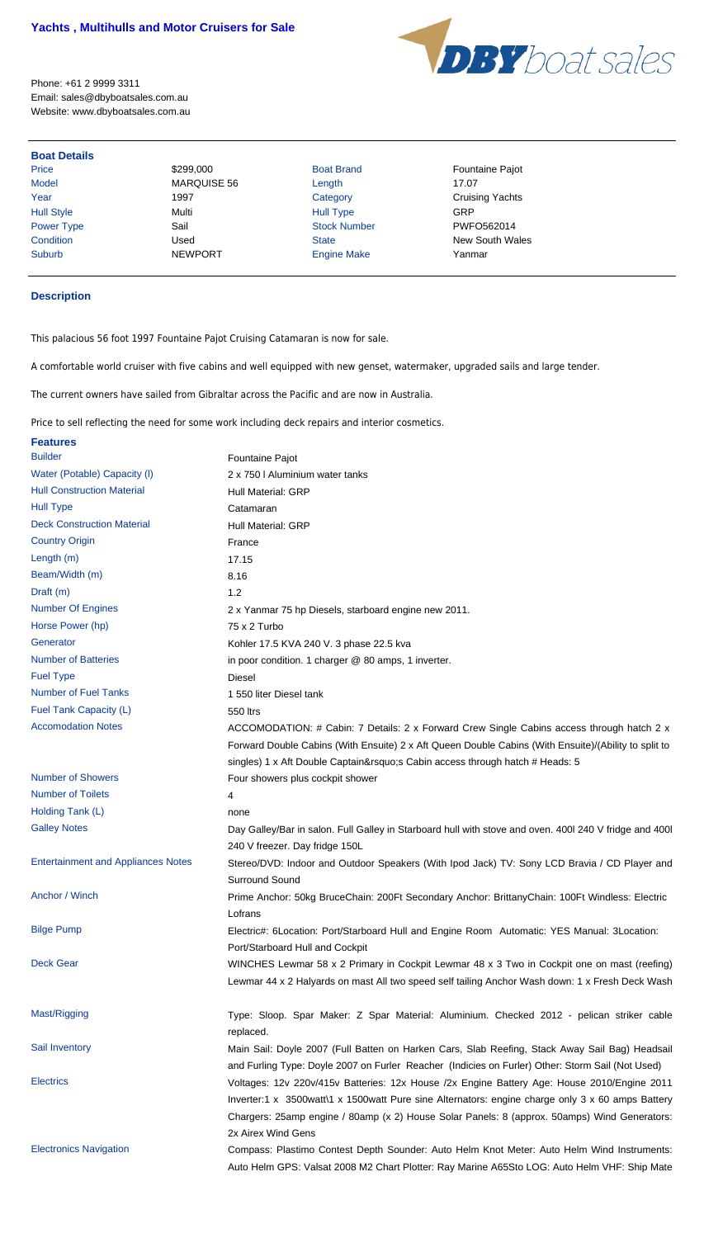## **Yachts , Multihulls and Motor Cruisers for Sale**



Phone: +61 2 9999 3311 Email: sales@dbyboatsales.com.au Website: www.dbyboatsales.com.au

## **Boat Details**

Model MARQUISE 56 Length 17.07 Hull Style Multi Hull Type GRP Power Type Sail Sail Stock Number PWFO562014 Suburb NEWPORT Engine Make Yanmar

Price **\$299,000** S299,000 Boat Brand Fountaine Pajot Year 1997 Mark 2007 Category Category Cruising Yachts **Condition** Used Used State State New South Wales

## **Description**

This palacious 56 foot 1997 Fountaine Pajot Cruising Catamaran is now for sale.

A comfortable world cruiser with five cabins and well equipped with new genset, watermaker, upgraded sails and large tender.

The current owners have sailed from Gibraltar across the Pacific and are now in Australia.

Price to sell reflecting the need for some work including deck repairs and interior cosmetics.

## **Features**

| <b>Builder</b>                            | <b>Fountaine Pajot</b>                                                                                                                                                                                                                                                        |
|-------------------------------------------|-------------------------------------------------------------------------------------------------------------------------------------------------------------------------------------------------------------------------------------------------------------------------------|
| Water (Potable) Capacity (I)              | 2 x 750   Aluminium water tanks                                                                                                                                                                                                                                               |
| <b>Hull Construction Material</b>         | <b>Hull Material: GRP</b>                                                                                                                                                                                                                                                     |
| <b>Hull Type</b>                          | Catamaran                                                                                                                                                                                                                                                                     |
| <b>Deck Construction Material</b>         | <b>Hull Material: GRP</b>                                                                                                                                                                                                                                                     |
| <b>Country Origin</b>                     | France                                                                                                                                                                                                                                                                        |
| Length (m)                                | 17.15                                                                                                                                                                                                                                                                         |
| Beam/Width (m)                            | 8.16                                                                                                                                                                                                                                                                          |
| Draft (m)                                 | 1.2                                                                                                                                                                                                                                                                           |
| <b>Number Of Engines</b>                  | 2 x Yanmar 75 hp Diesels, starboard engine new 2011.                                                                                                                                                                                                                          |
| Horse Power (hp)                          | 75 x 2 Turbo                                                                                                                                                                                                                                                                  |
| Generator                                 | Kohler 17.5 KVA 240 V. 3 phase 22.5 kva                                                                                                                                                                                                                                       |
| <b>Number of Batteries</b>                | in poor condition. 1 charger @ 80 amps, 1 inverter.                                                                                                                                                                                                                           |
| <b>Fuel Type</b>                          | <b>Diesel</b>                                                                                                                                                                                                                                                                 |
| <b>Number of Fuel Tanks</b>               | 1 550 liter Diesel tank                                                                                                                                                                                                                                                       |
| Fuel Tank Capacity (L)                    | <b>550 ltrs</b>                                                                                                                                                                                                                                                               |
| <b>Accomodation Notes</b>                 | ACCOMODATION: # Cabin: 7 Details: 2 x Forward Crew Single Cabins access through hatch 2 x<br>Forward Double Cabins (With Ensuite) 2 x Aft Queen Double Cabins (With Ensuite)/(Ability to split to<br>singles) 1 x Aft Double Captain' s Cabin access through hatch # Heads: 5 |
| <b>Number of Showers</b>                  | Four showers plus cockpit shower                                                                                                                                                                                                                                              |
| <b>Number of Toilets</b>                  | 4                                                                                                                                                                                                                                                                             |
| Holding Tank (L)                          | none                                                                                                                                                                                                                                                                          |
| <b>Galley Notes</b>                       | Day Galley/Bar in salon. Full Galley in Starboard hull with stove and oven. 400l 240 V fridge and 400l<br>240 V freezer. Day fridge 150L                                                                                                                                      |
| <b>Entertainment and Appliances Notes</b> | Stereo/DVD: Indoor and Outdoor Speakers (With Ipod Jack) TV: Sony LCD Bravia / CD Player and<br><b>Surround Sound</b>                                                                                                                                                         |
|                                           |                                                                                                                                                                                                                                                                               |

| Anchor / Winch                | Prime Anchor: 50kg Bruce Chain: 200Ft Secondary Anchor: Brittany Chain: 100Ft Windless: Electric   |
|-------------------------------|----------------------------------------------------------------------------------------------------|
|                               | Lofrans                                                                                            |
| <b>Bilge Pump</b>             | Electric #: 6 Location: Port/Starboard Hull and Engine Room Automatic: YES Manual: 3 Location:     |
|                               | Port/Starboard Hull and Cockpit                                                                    |
| Deck Gear                     | WINCHES Lewmar 58 x 2 Primary in Cockpit Lewmar 48 x 3 Two in Cockpit one on mast (reefing)        |
|                               | Lewmar 44 x 2 Halyards on mast All two speed self tailing Anchor Wash down: 1 x Fresh Deck Wash    |
| Mast/Rigging                  | Type: Sloop. Spar Maker: Z Spar Material: Aluminium. Checked 2012 - pelican striker cable          |
|                               | replaced.                                                                                          |
| Sail Inventory                | Main Sail: Doyle 2007 (Full Batten on Harken Cars, Slab Reefing, Stack Away Sail Bag) Headsail     |
|                               | and Furling Type: Doyle 2007 on Furler Reacher (Indicies on Furler) Other: Storm Sail (Not Used)   |
| <b>Electrics</b>              | Voltages: 12v 220v/415v Batteries: 12x House /2x Engine Battery Age: House 2010/Engine 2011        |
|                               | Inverter:1 x 3500 watt\1 x 1500 watt Pure sine Alternators: engine charge only 3 x 60 amps Battery |
|                               | Chargers: 25amp engine / 80amp (x 2) House Solar Panels: 8 (approx. 50amps) Wind Generators:       |
|                               | 2x Airex Wind Gens                                                                                 |
| <b>Electronics Navigation</b> | Compass: Plastimo Contest Depth Sounder: Auto Helm Knot Meter: Auto Helm Wind Instruments:         |
|                               | Auto Helm GPS: Valsat 2008 M2 Chart Plotter: Ray Marine A65Sto LOG: Auto Helm VHF: Ship Mate       |
|                               |                                                                                                    |